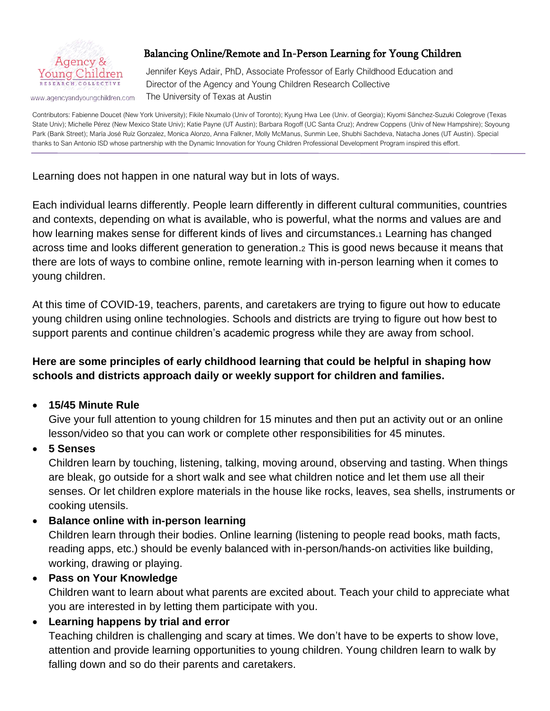

www.agencyandyoungchildren.com

## Balancing Online/Remote and In-Person Learning for Young Children

Jennifer Keys Adair, PhD, Associate Professor of Early Childhood Education and Director of the Agency and Young Children Research Collective The University of Texas at Austin

Contributors: Fabienne Doucet (New York University); Fikile Nxumalo (Univ of Toronto); Kyung Hwa Lee (Univ. of Georgia); Kiyomi Sánchez-Suzuki Colegrove (Texas State Univ); Michelle Pérez (New Mexico State Univ); Katie Payne (UT Austin); Barbara Rogoff (UC Santa Cruz); Andrew Coppens (Univ of New Hampshire); Soyoung Park (Bank Street); María José Ruíz Gonzalez, Monica Alonzo, Anna Falkner, Molly McManus, Sunmin Lee, Shubhi Sachdeva, Natacha Jones (UT Austin). Special thanks to San Antonio ISD whose partnership with the Dynamic Innovation for Young Children Professional Development Program inspired this effort.

Learning does not happen in one natural way but in lots of ways.

Each individual learns differently. People learn differently in different cultural communities, countries and contexts, depending on what is available, who is powerful, what the norms and values are and how learning makes sense for different kinds of lives and circumstances.<sup>1</sup> Learning has changed across time and looks different generation to generation.<sup>2</sup> This is good news because it means that there are lots of ways to combine online, remote learning with in-person learning when it comes to young children.

At this time of COVID-19, teachers, parents, and caretakers are trying to figure out how to educate young children using online technologies. Schools and districts are trying to figure out how best to support parents and continue children's academic progress while they are away from school.

## **Here are some principles of early childhood learning that could be helpful in shaping how schools and districts approach daily or weekly support for children and families.**

## • **15/45 Minute Rule**

Give your full attention to young children for 15 minutes and then put an activity out or an online lesson/video so that you can work or complete other responsibilities for 45 minutes.

## • **5 Senses**

Children learn by touching, listening, talking, moving around, observing and tasting. When things are bleak, go outside for a short walk and see what children notice and let them use all their senses. Or let children explore materials in the house like rocks, leaves, sea shells, instruments or cooking utensils.

### • **Balance online with in-person learning**

Children learn through their bodies. Online learning (listening to people read books, math facts, reading apps, etc.) should be evenly balanced with in-person/hands-on activities like building, working, drawing or playing.

### • **Pass on Your Knowledge** Children want to learn about what parents are excited about. Teach your child to appreciate what you are interested in by letting them participate with you.

## • **Learning happens by trial and error**

Teaching children is challenging and scary at times. We don't have to be experts to show love, attention and provide learning opportunities to young children. Young children learn to walk by falling down and so do their parents and caretakers.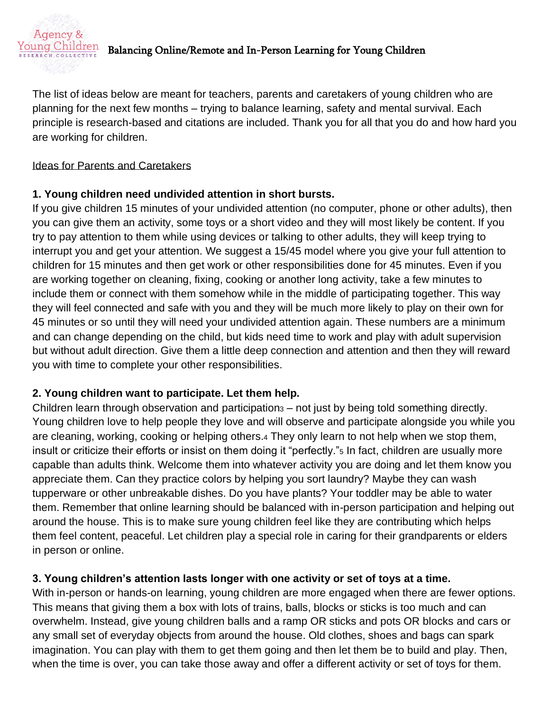

# Balancing Online/Remote and In-Person Learning for Young Children

The list of ideas below are meant for teachers, parents and caretakers of young children who are planning for the next few months – trying to balance learning, safety and mental survival. Each principle is research-based and citations are included. Thank you for all that you do and how hard you are working for children.

#### Ideas for Parents and Caretakers

### **1. Young children need undivided attention in short bursts.**

If you give children 15 minutes of your undivided attention (no computer, phone or other adults), then you can give them an activity, some toys or a short video and they will most likely be content. If you try to pay attention to them while using devices or talking to other adults, they will keep trying to interrupt you and get your attention. We suggest a 15/45 model where you give your full attention to children for 15 minutes and then get work or other responsibilities done for 45 minutes. Even if you are working together on cleaning, fixing, cooking or another long activity, take a few minutes to include them or connect with them somehow while in the middle of participating together. This way they will feel connected and safe with you and they will be much more likely to play on their own for 45 minutes or so until they will need your undivided attention again. These numbers are a minimum and can change depending on the child, but kids need time to work and play with adult supervision but without adult direction. Give them a little deep connection and attention and then they will reward you with time to complete your other responsibilities.

## **2. Young children want to participate. Let them help.**

Children learn through observation and participation<sup>3</sup> – not just by being told something directly. Young children love to help people they love and will observe and participate alongside you while you are cleaning, working, cooking or helping others.<sup>4</sup> They only learn to not help when we stop them, insult or criticize their efforts or insist on them doing it "perfectly."<sup>5</sup> In fact, children are usually more capable than adults think. Welcome them into whatever activity you are doing and let them know you appreciate them. Can they practice colors by helping you sort laundry? Maybe they can wash tupperware or other unbreakable dishes. Do you have plants? Your toddler may be able to water them. Remember that online learning should be balanced with in-person participation and helping out around the house. This is to make sure young children feel like they are contributing which helps them feel content, peaceful. Let children play a special role in caring for their grandparents or elders in person or online.

## **3. Young children's attention lasts longer with one activity or set of toys at a time.**

With in-person or hands-on learning, young children are more engaged when there are fewer options. This means that giving them a box with lots of trains, balls, blocks or sticks is too much and can overwhelm. Instead, give young children balls and a ramp OR sticks and pots OR blocks and cars or any small set of everyday objects from around the house. Old clothes, shoes and bags can spark imagination. You can play with them to get them going and then let them be to build and play. Then, when the time is over, you can take those away and offer a different activity or set of toys for them.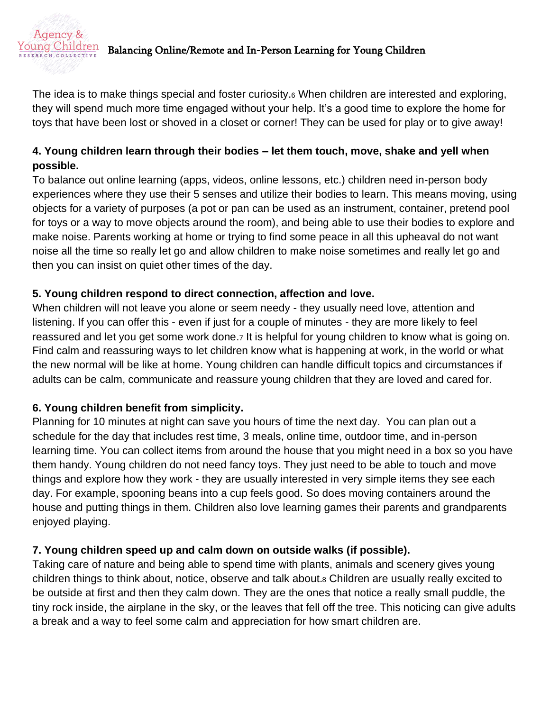

# $\frac{N \in \mathbb{N}}{\max\limits_{k \in \mathcal{S}} \mathcal{S}(N)}$  Balancing Online/Remote and In-Person Learning for Young Children

The idea is to make things special and foster curiosity.<sup>6</sup> When children are interested and exploring, they will spend much more time engaged without your help. It's a good time to explore the home for toys that have been lost or shoved in a closet or corner! They can be used for play or to give away!

## **4. Young children learn through their bodies – let them touch, move, shake and yell when possible.**

To balance out online learning (apps, videos, online lessons, etc.) children need in-person body experiences where they use their 5 senses and utilize their bodies to learn. This means moving, using objects for a variety of purposes (a pot or pan can be used as an instrument, container, pretend pool for toys or a way to move objects around the room), and being able to use their bodies to explore and make noise. Parents working at home or trying to find some peace in all this upheaval do not want noise all the time so really let go and allow children to make noise sometimes and really let go and then you can insist on quiet other times of the day.

### **5. Young children respond to direct connection, affection and love.**

When children will not leave you alone or seem needy - they usually need love, attention and listening. If you can offer this - even if just for a couple of minutes - they are more likely to feel reassured and let you get some work done.<sup>7</sup> It is helpful for young children to know what is going on. Find calm and reassuring ways to let children know what is happening at work, in the world or what the new normal will be like at home. Young children can handle difficult topics and circumstances if adults can be calm, communicate and reassure young children that they are loved and cared for.

### **6. Young children benefit from simplicity.**

Planning for 10 minutes at night can save you hours of time the next day. You can plan out a schedule for the day that includes rest time, 3 meals, online time, outdoor time, and in-person learning time. You can collect items from around the house that you might need in a box so you have them handy. Young children do not need fancy toys. They just need to be able to touch and move things and explore how they work - they are usually interested in very simple items they see each day. For example, spooning beans into a cup feels good. So does moving containers around the house and putting things in them. Children also love learning games their parents and grandparents enjoyed playing.

## **7. Young children speed up and calm down on outside walks (if possible).**

Taking care of nature and being able to spend time with plants, animals and scenery gives young children things to think about, notice, observe and talk about.<sup>8</sup> Children are usually really excited to be outside at first and then they calm down. They are the ones that notice a really small puddle, the tiny rock inside, the airplane in the sky, or the leaves that fell off the tree. This noticing can give adults a break and a way to feel some calm and appreciation for how smart children are.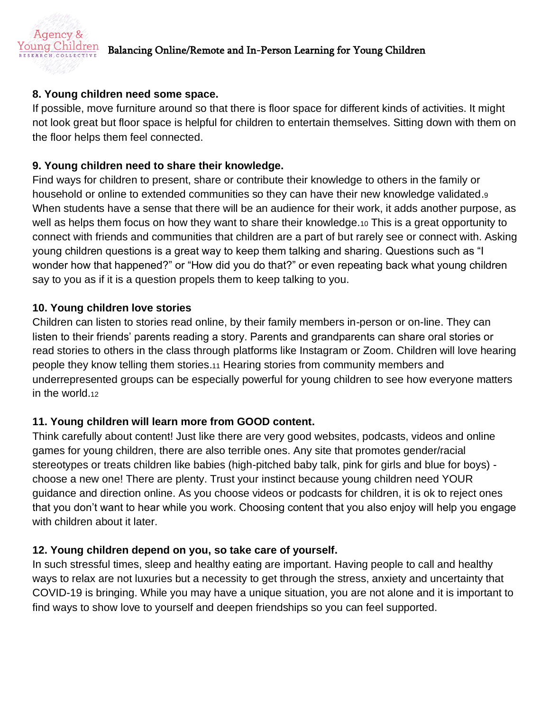

# $\frac{N \in \mathbb{N}}{\max\limits_{k \in \mathcal{S}} \mathcal{S}(N)}$  Balancing Online/Remote and In-Person Learning for Young Children

### **8. Young children need some space.**

If possible, move furniture around so that there is floor space for different kinds of activities. It might not look great but floor space is helpful for children to entertain themselves. Sitting down with them on the floor helps them feel connected.

#### **9. Young children need to share their knowledge.**

Find ways for children to present, share or contribute their knowledge to others in the family or household or online to extended communities so they can have their new knowledge validated.<sup>9</sup> When students have a sense that there will be an audience for their work, it adds another purpose, as well as helps them focus on how they want to share their knowledge.10 This is a great opportunity to connect with friends and communities that children are a part of but rarely see or connect with. Asking young children questions is a great way to keep them talking and sharing. Questions such as "I wonder how that happened?" or "How did you do that?" or even repeating back what young children say to you as if it is a question propels them to keep talking to you.

#### **10. Young children love stories**

Children can listen to stories read online, by their family members in-person or on-line. They can listen to their friends' parents reading a story. Parents and grandparents can share oral stories or read stories to others in the class through platforms like Instagram or Zoom. Children will love hearing people they know telling them stories.<sup>11</sup> Hearing stories from community members and underrepresented groups can be especially powerful for young children to see how everyone matters in the world.<sup>12</sup>

### **11. Young children will learn more from GOOD content.**

Think carefully about content! Just like there are very good websites, podcasts, videos and online games for young children, there are also terrible ones. Any site that promotes gender/racial stereotypes or treats children like babies (high-pitched baby talk, pink for girls and blue for boys) choose a new one! There are plenty. Trust your instinct because young children need YOUR guidance and direction online. As you choose videos or podcasts for children, it is ok to reject ones that you don't want to hear while you work. Choosing content that you also enjoy will help you engage with children about it later.

### **12. Young children depend on you, so take care of yourself.**

In such stressful times, sleep and healthy eating are important. Having people to call and healthy ways to relax are not luxuries but a necessity to get through the stress, anxiety and uncertainty that COVID-19 is bringing. While you may have a unique situation, you are not alone and it is important to find ways to show love to yourself and deepen friendships so you can feel supported.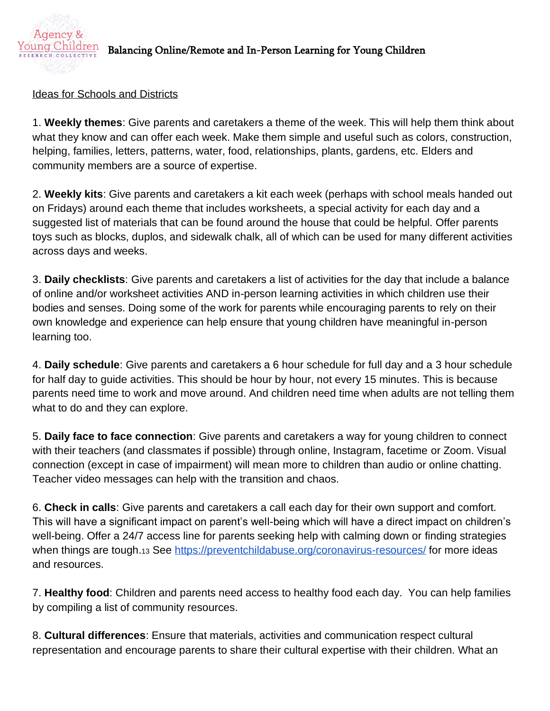

# $\frac{I\rm{Oung}~Children}{I\rm{R}}$  Balancing Online/Remote and In-Person Learning for Young Children

#### Ideas for Schools and Districts

1. **Weekly themes**: Give parents and caretakers a theme of the week. This will help them think about what they know and can offer each week. Make them simple and useful such as colors, construction, helping, families, letters, patterns, water, food, relationships, plants, gardens, etc. Elders and community members are a source of expertise.

2. **Weekly kits**: Give parents and caretakers a kit each week (perhaps with school meals handed out on Fridays) around each theme that includes worksheets, a special activity for each day and a suggested list of materials that can be found around the house that could be helpful. Offer parents toys such as blocks, duplos, and sidewalk chalk, all of which can be used for many different activities across days and weeks.

3. **Daily checklists**: Give parents and caretakers a list of activities for the day that include a balance of online and/or worksheet activities AND in-person learning activities in which children use their bodies and senses. Doing some of the work for parents while encouraging parents to rely on their own knowledge and experience can help ensure that young children have meaningful in-person learning too.

4. **Daily schedule**: Give parents and caretakers a 6 hour schedule for full day and a 3 hour schedule for half day to guide activities. This should be hour by hour, not every 15 minutes. This is because parents need time to work and move around. And children need time when adults are not telling them what to do and they can explore.

5. **Daily face to face connection**: Give parents and caretakers a way for young children to connect with their teachers (and classmates if possible) through online, Instagram, facetime or Zoom. Visual connection (except in case of impairment) will mean more to children than audio or online chatting. Teacher video messages can help with the transition and chaos.

6. **Check in calls**: Give parents and caretakers a call each day for their own support and comfort. This will have a significant impact on parent's well-being which will have a direct impact on children's well-being. Offer a 24/7 access line for parents seeking help with calming down or finding strategies when things are tough.13 See<https://preventchildabuse.org/coronavirus-resources/> for more ideas and resources.

7. **Healthy food**: Children and parents need access to healthy food each day. You can help families by compiling a list of community resources.

8. **Cultural differences**: Ensure that materials, activities and communication respect cultural representation and encourage parents to share their cultural expertise with their children. What an